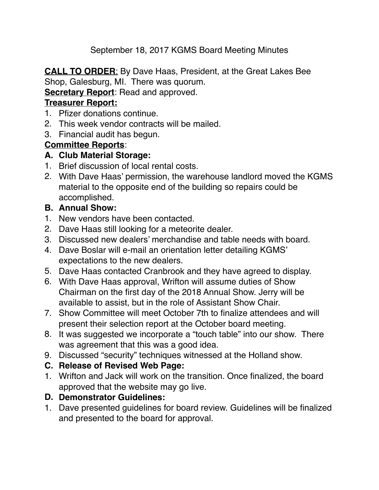September 18, 2017 KGMS Board Meeting Minutes

**CALL TO ORDER**: By Dave Haas, President, at the Great Lakes Bee Shop, Galesburg, MI. There was quorum.

## **Secretary Report:** Read and approved.

## **Treasurer Report:**

- 1. Pfizer donations continue.
- 2. This week vendor contracts will be mailed.
- 3. Financial audit has begun.

# **Committee Reports**:

### **A. Club Material Storage:**

- 1. Brief discussion of local rental costs.
- 2. With Dave Haas' permission, the warehouse landlord moved the KGMS material to the opposite end of the building so repairs could be accomplished.

# **B. Annual Show:**

- 1. New vendors have been contacted.
- 2. Dave Haas still looking for a meteorite dealer.
- 3. Discussed new dealers' merchandise and table needs with board.
- 4. Dave Boslar will e-mail an orientation letter detailing KGMS' expectations to the new dealers.
- 5. Dave Haas contacted Cranbrook and they have agreed to display.
- 6. With Dave Haas approval, Wrifton will assume duties of Show Chairman on the first day of the 2018 Annual Show. Jerry will be available to assist, but in the role of Assistant Show Chair.
- 7. Show Committee will meet October 7th to finalize attendees and will present their selection report at the October board meeting.
- 8. It was suggested we incorporate a "touch table" into our show. There was agreement that this was a good idea.
- 9. Discussed "security" techniques witnessed at the Holland show.
- **C. Release of Revised Web Page:**
- 1. Wrifton and Jack will work on the transition. Once finalized, the board approved that the website may go live.

# **D. Demonstrator Guidelines:**

1. Dave presented guidelines for board review. Guidelines will be finalized and presented to the board for approval.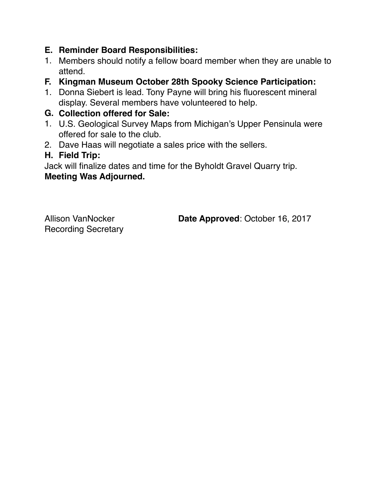## **E. Reminder Board Responsibilities:**

- 1. Members should notify a fellow board member when they are unable to attend.
- **F. Kingman Museum October 28th Spooky Science Participation:**
- 1. Donna Siebert is lead. Tony Payne will bring his fluorescent mineral display. Several members have volunteered to help.

## **G. Collection offered for Sale:**

- 1. U.S. Geological Survey Maps from Michigan's Upper Pensinula were offered for sale to the club.
- 2. Dave Haas will negotiate a sales price with the sellers.

### **H. Field Trip:**

Jack will finalize dates and time for the Byholdt Gravel Quarry trip. **Meeting Was Adjourned.**

Recording Secretary

Allison VanNocker **Date Approved**: October 16, 2017